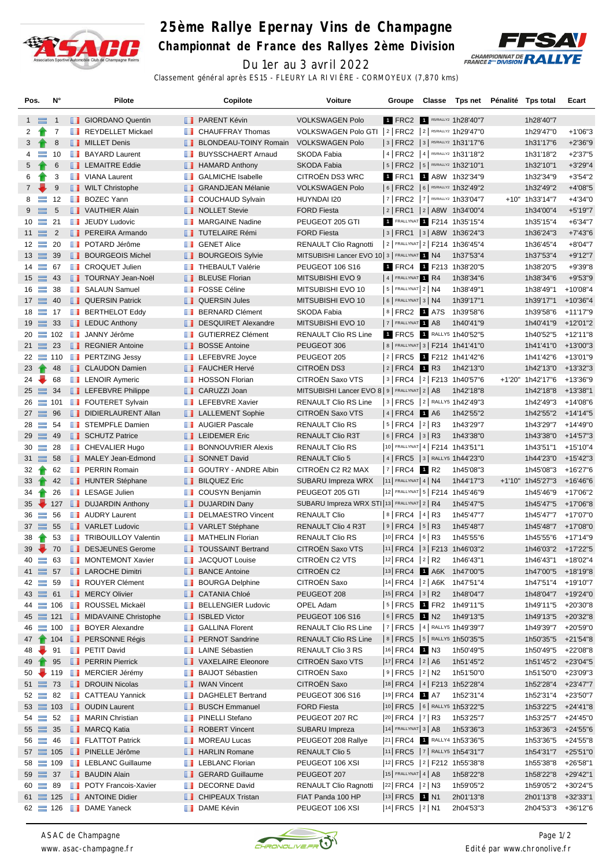

## **25ème Rallye Epernay Vins de Champagne**

**Championnat de France des Rallyes 2ème Division**



Du 1er au 3 avril 2022

Classement général après ES15 - FLEURY LA RIVIÈRE - CORMOYEUX (7,870 kms)

| Pos.            |           | N°             |                     | <b>Pilote</b>                          |   | Copilote                                           | Voiture                                                  | Groupe                   | Classe | Tps net Pénalité Tps total           |                    | Ecart       |
|-----------------|-----------|----------------|---------------------|----------------------------------------|---|----------------------------------------------------|----------------------------------------------------------|--------------------------|--------|--------------------------------------|--------------------|-------------|
| $1 \equiv$      |           | $\overline{1}$ |                     | <b>B</b> GIORDANO Quentin              |   | <b>B</b> PARENT Kévin                              | <b>VOLKSWAGEN Polo</b>                                   |                          |        | 1 FRC2 1 R5/RALLY2 1h28'40"7         | 1h28'40"7          |             |
| 2               |           | 7              | <b>The Contract</b> | <b>REYDELLET Mickael</b>               | w | <b>CHAUFFRAY Thomas</b>                            | VOLKSWAGEN Polo GTI   2   FRC2   2   R5/RALLY2 1h29'47"0 |                          |        |                                      | 1h29'47"0          | $+1'06"3$   |
| 3               |           | 8              |                     | <b>NILLET</b> Denis                    |   | <b>BLONDEAU-TOINY Romain</b>                       | <b>VOLKSWAGEN Polo</b>                                   |                          |        | $ 3 $ FRC2 $ 3 $ RS/RALLY2 1h31'17"6 | 1h31'17"6          | $+2'36''9$  |
| 4               | $\equiv$  | 10             |                     | <b>BAYARD Laurent</b>                  |   | <b>BUYSSCHAERT Arnaud</b>                          | SKODA Fabia                                              |                          |        | 14 FRC2 14 R5/RALLY2 1h31'18"2       | 1h31'18"2          | $+2'37"5$   |
| 5               |           | 6              |                     | <b>EXECUTE Eddie</b>                   |   | <b>B</b> HAMARD Anthony                            | <b>SKODA Fabia</b>                                       |                          |        | 5   FRC2   5   RS/RALLY2 1h32'10"1   | 1h32'10"1          | $+3'29''4$  |
| 6               |           | 3              |                     | VIANA Laurent                          | w | <b>GALMICHE Isabelle</b>                           | CITROËN DS3 WRC                                          |                          |        | 1 FRC1 1 A8W 1h32'34"9               | 1h32'34"9          | $+3'54''2$  |
| $7^{\circ}$     |           | 9              |                     | <b>WILT Christophe</b>                 |   | <b>BE GRANDJEAN Mélanie</b>                        | <b>VOLKSWAGEN Polo</b>                                   |                          |        | 6   FRC2   6   R5/RALLY2 1h32'49"2   | 1h32'49"2          | $+4'08"5$   |
| 8               | $\equiv$  | 12             | <b>The Co</b>       | <b>BOZEC Yann</b>                      | ш | <b>COUCHAUD Sylvain</b>                            | HUYNDAI I20                                              |                          |        | 7   FRC2   7   R5/RALLY2 1h33'04"7   | +10" 1h33'14"7     | $+4'34"0$   |
| 9               |           |                |                     | VAUTHIER Alain                         |   |                                                    | <b>FORD Fiesta</b>                                       |                          |        | 2 FRC1 2 A8W 1h34'00"4               |                    | $+5'19''7$  |
|                 | $\equiv$  | 5              |                     |                                        |   | <b>NOLLET Stevie</b><br><b>MARGAINE Nadine</b>     | PEUGEOT 205 GTI                                          |                          |        | 1 FRALLYNAT 1 F214 1h35'15"4         | 1h34'00"4          | $+6'34"7$   |
| 10              | $\equiv$  | 21             | <b>The Second</b>   | JEUDY Ludovic                          |   |                                                    |                                                          |                          |        |                                      | 1h35'15"4          |             |
| $11 \equiv$     |           | $\overline{2}$ |                     | <b>PEREIRA Armando</b>                 |   | <b>TUTELAIRE Rémi</b>                              | <b>FORD Fiesta</b>                                       |                          |        | 3   FRC1   3   A8W 1h36'24"3         | 1h36'24"3          | $+7'43''6$  |
| $12 \equiv$     |           | 20             |                     | <b>Fi</b> POTARD Jérôme                | w | <b>GENET Alice</b>                                 | <b>RENAULT Clio Ragnotti</b>                             |                          |        | 2 FRALLYNAT 2   F214 1h36'45"4       | 1h36'45"4          | $+8'04"7$   |
| $13 \equiv$     |           | 39             |                     | <b>BOURGEOIS Michel</b>                |   | <b>BOURGEOIS Sylvie</b><br><b>THEBAULT Valérie</b> | MITSUBISHI Lancer EVO 10 3   FRALLYNAT 1 N4              |                          |        | 1h37'53"4                            | 1h37'53"4          | $+9'12"7$   |
| $14 \equiv$     |           | 67             | <b>The Co</b>       | <b>CROQUET Julien</b>                  |   |                                                    | <b>PEUGEOT 106 S16</b>                                   | 4 FRALLYNAT 1 R4         |        | 1 FRC4 1 F213 1h38'20"5              | 1h38'20"5          | +9'39"8     |
| $15 \equiv 43$  |           |                |                     | <b>TOURNAY Jean-Noël</b>               |   | <b>BLEUSE Florian</b>                              | MITSUBISHI EVO 9                                         |                          |        | 1h38'34"6                            | 1h38'34"6          | $+9'53"9$   |
| $16 \equiv$     |           | 38             |                     | <b>B</b> SALAUN Samuel                 |   | <b>FOSSE Céline</b>                                | MITSUBISHI EVO 10                                        | $ 5 $ FRALLYNAT $2 NA$   |        | 1h38'49"1                            | 1h38'49"1          | +10'08"4    |
| $17 \equiv$     |           | 40             |                     | <b>QUERSIN Patrick</b>                 |   | <b>I</b> QUERSIN Jules                             | MITSUBISHI EVO 10                                        | $6$ Frallynat 3   N4     |        | 1h39'17"1                            | 1h39'17"1          | $+10'36''4$ |
| $18 \equiv$     |           | 17             |                     | <b>BERTHELOT Eddy</b>                  | w | <b>BERNARD Clément</b>                             | SKODA Fabia                                              |                          |        | 8 FRC2 1 A7S 1h39'58"6               | 1h39'58"6          | +11'17"9    |
| $19 \equiv$     |           | 33             |                     | <b>LEDUC Anthony</b>                   |   | DESQUIRET Alexandre                                | MITSUBISHI EVO 10                                        | 7 FRALLYNAT 1 A8         |        | 1h40'41"9                            | 1h40'41"9          | +12'01"2    |
| $20 \equiv 102$ |           |                | <b>The Second</b>   | JANNY Jérôme                           |   | <b>GUTIERREZ Clément</b>                           | <b>RENAULT Clio RS Line</b>                              |                          |        | 1 FRC5 1 RALLY5 1h40'52"5            | 1h40'52"5          | $+12'11''8$ |
| $21 \equiv 23$  |           |                |                     | <b>REGNIER Antoine</b>                 |   | <b>BOSSE Antoine</b>                               | PEUGEOT 306                                              |                          |        | 8   FRALLYNAT 3   F214 1h41'41"0     | 1h41'41"0          | +13'00"3    |
|                 |           |                |                     | 22 110 <b>PERTZING Jessy</b>           | w | LEFEBVRE Joyce                                     | PEUGEOT 205                                              |                          |        | 2 FRC5 <b>1</b> F212 1h41'42"6       | 1h41'42"6          | +13'01"9    |
| 23              | $\bullet$ | 48             |                     | <b>CLAUDON Damien</b>                  |   | <b>FAUCHER Hervé</b>                               | CITROËN DS3                                              | $ 2 $ FRC4 1 R3          |        | 1h42'13"0                            | 1h42'13"0          | $+13'32"3$  |
| 24              | ₩         | 68             |                     | <b>EXP</b> LENOIR Aymeric              | u | <b>HOSSON Florian</b>                              | CITROËN Saxo VTS                                         |                          |        | 3   FRC4  2   F213 1h40'57"6         | +1'20" 1h42'17"6   | +13'36"9    |
| $25 \equiv$     |           | 34             |                     | <b>I</b> LEFEBVRE Philippe             |   | CARUZZI Joan                                       | MITSUBISHI Lancer EVO 8 9   FRALLYNAT 2   A8             |                          |        | 1h42'18"8                            | 1h42'18"8          | $+13'38"1$  |
| 26              |           | $\equiv$ 101   |                     | <b>FOUTERET Sylvain</b>                |   | <b>LEFEBVRE Xavier</b>                             | RENAULT Clio RS Line                                     |                          |        | 3 FRC5 2 RALLY5 1h42'49"3            | 1h42'49"3          | +14'08"6    |
| $27 \equiv 96$  |           |                |                     | DIDIERLAURENT Allan                    |   | <b>LE</b> LALLEMENT Sophie                         | CITROËN Saxo VTS                                         | 4 FRC4 1 A6              |        | 1h42'55"2                            | 1h42'55"2          | +14'14"5    |
| $28 \equiv$     |           | 54             |                     | <b>STEMPFLE Damien</b>                 |   | <b>NUGLER Pascale</b>                              | RENAULT Clio RS                                          | 5   FRC4   2   R3        |        | 1h43'29"7                            | 1h43'29"7          | +14'49"0    |
| $29 \equiv 49$  |           |                |                     | SCHUTZ Patrice                         |   | <b>I</b> LEIDEMER Eric                             | RENAULT Clio R3T                                         | $ 6 $ FRC4 $ 3 $ R3      |        | 1h43'38"0                            | 1h43'38"0          | +14'57"3    |
| $30 =$          |           | 28             |                     | <b>B</b> CHEVALIER Hugo                | ш | <b>BONNOUVRIER Alexis</b>                          | RENAULT Clio RS                                          |                          |        | 10 FRALLYNAT 4   F214 1h43'51"1      | 1h43'51"1          | $+15'10''4$ |
| $31 \equiv$     |           | 58             |                     | MALEY Jean-Edmond                      |   | SONNET David                                       | <b>RENAULT Clio 5</b>                                    |                          |        | 4   FRC5   3   RALLY5 1h44'23"0      | 1h44'23"0          | $+15'42"3$  |
| 32              | Ŧ         | 62             |                     | <b>FRAIN Romain</b>                    |   | GOUTRY - ANDRE Albin                               | CITROËN C2 R2 MAX                                        | $ 7 $ FRC4 1 R2          |        | 1h45'08"3                            | 1h45'08"3          | +16'27"6    |
| 33              |           | 42             |                     | <b>HUNTER Stéphane</b>                 |   | <b>BILQUEZ Eric</b>                                | SUBARU Impreza WRX                                       | 11 FRALLYNAT $4 \mid N4$ |        | 1h44'17"3                            | +1'10" 1h45'27"3   | +16'46"6    |
| 34              |           | 26             |                     | <b>T</b> LESAGE Julien                 | w | COUSYN Benjamin                                    | PEUGEOT 205 GTI                                          |                          |        | 12 FRALLYNAT 5   F214 1h45'46"9      | 1h45'46"9          | +17'06"2    |
| 35              |           | 127            |                     | <b>DUJARDIN Anthony</b>                |   | DUJARDIN Dany                                      | SUBARU Impreza WRX STI 13 FRALLYNAT 2   R4               |                          |        | 1h45'47"5                            | 1h45'47"5          | +17'06"8    |
| $36 =$          |           | 56             |                     | <b>AUDRY Laurent</b>                   | w | <b>DELMAESTRO Vincent</b>                          | <b>RENAULT Clio</b>                                      | 8 FRC4 4 R3              |        | 1h45'47"7                            | 1h45'47"7          | +17'07"0    |
| $37 \equiv 55$  |           |                |                     | VARLET Ludovic                         |   | VARLET Stéphane                                    | RENAULT Clio 4 R3T                                       | $ 9 $ FRC4 $ 5 $ R3      |        | 1h45'48"7                            | 1h45'48"7          | +17'08"0    |
| 38              |           | 53             |                     | <b>TRIBOUILLOY Valentin</b>            |   | MATHELIN Florian                                   | RENAULT Clio RS                                          | $ 10 $ FRC4 $ 6 $ R3     |        | 1h45'55"6                            | 1h45'55"6 +17'14"9 |             |
| $39 -$          |           | 70             |                     | DESJEUNES Gerome                       |   | <b>TEXAS TOUSSAINT Bertrand</b>                    | CITROËN Saxo VTS                                         |                          |        | 11  FRC4   3   F213 1h46'03"2        | 1h46'03"2 +17'22"5 |             |
| 40              | ᆖ         | 63             |                     | MONTEMONT Xavier                       |   | <b>JACQUOT Louise</b>                              | CITROËN C2 VTS                                           | 12  FRC4   2   R2        |        | 1h46'43"1                            | 1h46'43"1          | +18'02"4    |
| $41 \equiv 57$  |           |                |                     | <b>LAROCHE Dimitri</b>                 |   | <b>BANCE Antoine</b>                               | CITROËN C2                                               |                          |        | 13 FRC4 <b>1 A6K</b> 1h47'00"5       | 1h47'00"5 +18'19"8 |             |
| $42 \equiv$     |           | 59             |                     | <b>ROUYER Clément</b>                  |   | <b>BOURGA Delphine</b>                             | CITROEN Saxo                                             |                          |        | $ 14 $ FRC4 $ 2 $ A6K 1h47'51"4      | 1h47'51"4 +19'10"7 |             |
| $43 \equiv 61$  |           |                |                     | <b>NERCY Olivier</b>                   |   | <b>CATANIA Chloé</b>                               | PEUGEOT 208                                              | $ 15 $ FRC4 $ 3 $ R2     |        | 1h48'04"7                            | 1h48'04"7 +19'24"0 |             |
|                 |           |                |                     | 44 106 <b>N</b> ROUSSEL Mickaël        |   | <b>BELLENGIER Ludovic</b>                          | OPEL Adam                                                |                          |        | 5   FRC5   FR2 1h49'11"5             | 1h49'11"5 +20'30"8 |             |
|                 |           |                |                     | 45 = 121 <b>I</b> MIDAVAINE Christophe |   | <b>B</b> ISBLED Victor                             | PEUGEOT 106 S16                                          | $ 6 $ FRC5 1 N2          |        | 1h49'13"5                            | 1h49'13"5          | +20'32"8    |
| 46              |           |                |                     | 100 BOYER Alexandre                    |   | <b>GALLINA Florent</b>                             | RENAULT Clio RS Line                                     |                          |        | 7   FRC5   4   RALLY5 1h49'39"7      | 1h49'39"7          | +20'59"0    |
|                 |           |                |                     | 47 104 <b>PERSONNE Régis</b>           |   | <b>PERNOT Sandrine</b>                             | <b>RENAULT Clio RS Line</b>                              |                          |        | 8   FRC5   5   RALLY5 1h50'35"5      | 1h50'35"5          | +21'54"8    |
| 48              |           | 91             |                     | <b>F</b> PETIT David                   | w | <b>LAINE Sébastien</b>                             | RENAULT Clio 3 RS                                        | 16 FRC4 1 N3             |        | 1h50'49"5                            | 1h50'49"5 +22'08"8 |             |
| 49              |           | 95             |                     | <b>PERRIN Pierrick</b>                 |   | VAXELAIRE Eleonore                                 | CITROËN Saxo VTS                                         | $ 17 $ FRC4 $ 2 $ A6     |        | 1h51'45"2                            | 1h51'45"2 +23'04"5 |             |
| 50              |           |                |                     | 119 <b>B</b> MERCIER Jérémy            |   | <b>BAIJOT Sébastien</b>                            | CITROËN Saxo                                             | $ 9 $ FRC5 $ 2 $ N2      |        | 1h51'50"0                            | 1h51'50"0          | +23'09"3    |
| $51 \equiv 73$  |           |                |                     | <b>DROUIN Nicolas</b>                  |   | <b>I</b> IWAN Vincent                              | <b>CITROEN Saxo</b>                                      |                          |        | 18 FRC4   4   F213 1h52'28"4         | 1h52'28"4          | +23'47"7    |
| $52 \equiv 82$  |           |                |                     | <b>B</b> CATTEAU Yannick               |   | DAGHELET Bertrand                                  | PEUGEOT 306 S16                                          | 19 FRC4 1 A7             |        | 1h52'31"4                            | 1h52'31"4          | +23'50"7    |
|                 |           |                |                     | 53 103 <b>D</b> OUDIN Laurent          |   | <b>BUSCH Emmanuel</b>                              | <b>FORD Fiesta</b>                                       |                          |        | 10 FRC5 6 RALLY5 1h53'22"5           | 1h53'22"5          | +24'41"8    |
| $54 \equiv 52$  |           |                |                     | <b>NARIN Christian</b>                 | ш | PINELLI Stefano                                    | PEUGEOT 207 RC                                           | 20 FRC4 7 R3             |        | 1h53'25"7                            | 1h53'25"7          | +24'45"0    |
| $55 \equiv 35$  |           |                |                     | MARCQ Katia                            |   | ROBERT Vincent                                     | SUBARU Impreza                                           | $ 14 $ FRALLYNAT 3   A8  |        | 1h53'36"3                            | 1h53'36"3          | +24'55"6    |
| $56 \equiv 46$  |           |                |                     | <b>FLATTOT Patrick</b>                 |   | <b>NOREAU Lucas</b>                                | PEUGEOT 208 Rallye                                       |                          |        | 21 FRC4 1 RALLY4 1h53'36"5           | 1h53'36"5 +24'55"8 |             |
| $57 \equiv 105$ |           |                |                     | <b>PINELLE Jérôme</b>                  |   | <b>HARLIN Romane</b>                               | <b>RENAULT Clio 5</b>                                    |                          |        | 11 FRC5 7 RALLY5 1h54'31"7           | 1h54'31"7 +25'51"0 |             |
| $58 \equiv 109$ |           |                |                     | <b>EXECUTE LEBLANC Guillaume</b>       |   | <b>LEBLANC Florian</b>                             | PEUGEOT 106 XSI                                          |                          |        | 12 FRC5   2   F212 1h55'38"8         | 1h55'38"8          | +26'58"1    |
| $59 \equiv 37$  |           |                |                     | <b>BAUDIN Alain</b>                    |   | <b>SERARD Guillaume</b>                            | PEUGEOT 207                                              | $ 15 $ FRALLYNAT 4   A8  |        | 1h58'22"8                            | 1h58'22"8          | +29'42"1    |
| $60 \equiv 89$  |           |                |                     | <b>POTY Francois-Xavier</b>            | ш | <b>DECORNE David</b>                               | <b>RENAULT Clio Ragnotti</b>                             | $ 22 $ FRC4 $ 2 $ N3     |        | 1h59'05"2                            | 1h59'05"2          | +30'24"5    |
|                 |           |                |                     | 61 <b>125 J</b> ANTOINE Didier         |   | <b>CHIPEAUX Tristan</b>                            | FIAT Panda 100 HP                                        | 13 FRC5 1 N1             |        | 2h01'13"8                            | 2h01'13"8          | $+32'33"1$  |
|                 |           |                |                     | 62 126 <b>D</b> DAME Yaneck            |   | <b>DAME Kévin</b>                                  | PEUGEOT 106 XSI                                          | 14 FRC5   2   N1         |        | 2h04'53"3                            | 2h04'53"3          | +36'12"6    |